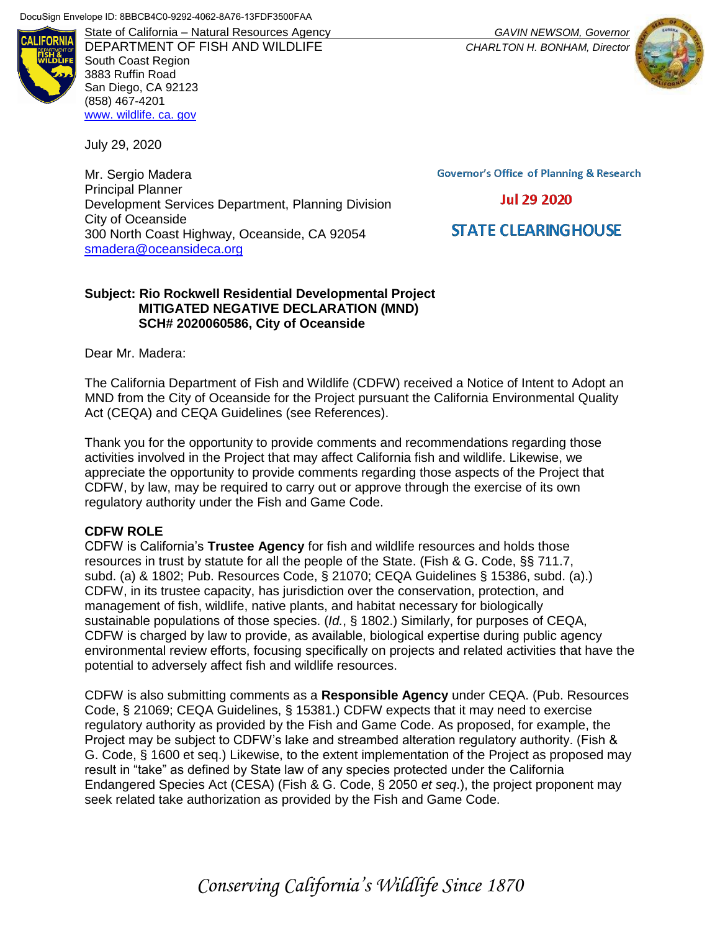

DEPARTMENT OF FISH AND WILDLIFE *CHARLTON H. BONHAM, Director* South Coast Region 3883 Ruffin Road San Diego, CA 92123 (858) 467-4201 [www. wildlife. ca. gov](file:///C:/Users/Jamie/Desktop/www.wildlife.ca.gov)

July 29, 2020

Mr. Sergio Madera Principal Planner Development Services Department, Planning Division City of Oceanside 300 North Coast Highway, Oceanside, CA 92054 [smadera@oceansideca.org](mailto:smadera@oceansideca.org)

**Governor's Office of Planning & Research** 

**Jul 29 2020** 

**STATE CLEARING HOUSE** 

### **Subject: Rio Rockwell Residential Developmental Project MITIGATED NEGATIVE DECLARATION (MND) SCH# 2020060586, City of Oceanside**

Dear Mr. Madera:

The California Department of Fish and Wildlife (CDFW) received a Notice of Intent to Adopt an MND from the City of Oceanside for the Project pursuant the California Environmental Quality Act (CEQA) and CEQA Guidelines (see References).

Thank you for the opportunity to provide comments and recommendations regarding those activities involved in the Project that may affect California fish and wildlife. Likewise, we appreciate the opportunity to provide comments regarding those aspects of the Project that CDFW, by law, may be required to carry out or approve through the exercise of its own regulatory authority under the Fish and Game Code.

### **CDFW ROLE**

CDFW is California's **Trustee Agency** for fish and wildlife resources and holds those resources in trust by statute for all the people of the State. (Fish & G. Code, §§ 711.7, subd. (a) & 1802; Pub. Resources Code, § 21070; CEQA Guidelines § 15386, subd. (a).) CDFW, in its trustee capacity, has jurisdiction over the conservation, protection, and management of fish, wildlife, native plants, and habitat necessary for biologically sustainable populations of those species. (*Id.*, § 1802.) Similarly, for purposes of CEQA, CDFW is charged by law to provide, as available, biological expertise during public agency environmental review efforts, focusing specifically on projects and related activities that have the potential to adversely affect fish and wildlife resources.

CDFW is also submitting comments as a **Responsible Agency** under CEQA. (Pub. Resources Code, § 21069; CEQA Guidelines, § 15381.) CDFW expects that it may need to exercise regulatory authority as provided by the Fish and Game Code. As proposed, for example, the Project may be subject to CDFW's lake and streambed alteration regulatory authority. (Fish & G. Code, § 1600 et seq.) Likewise, to the extent implementation of the Project as proposed may result in "take" as defined by State law of any species protected under the California Endangered Species Act (CESA) (Fish & G. Code, § 2050 *et seq*.), the project proponent may seek related take authorization as provided by the Fish and Game Code.



*Conserving California's Wildlife Since 1870*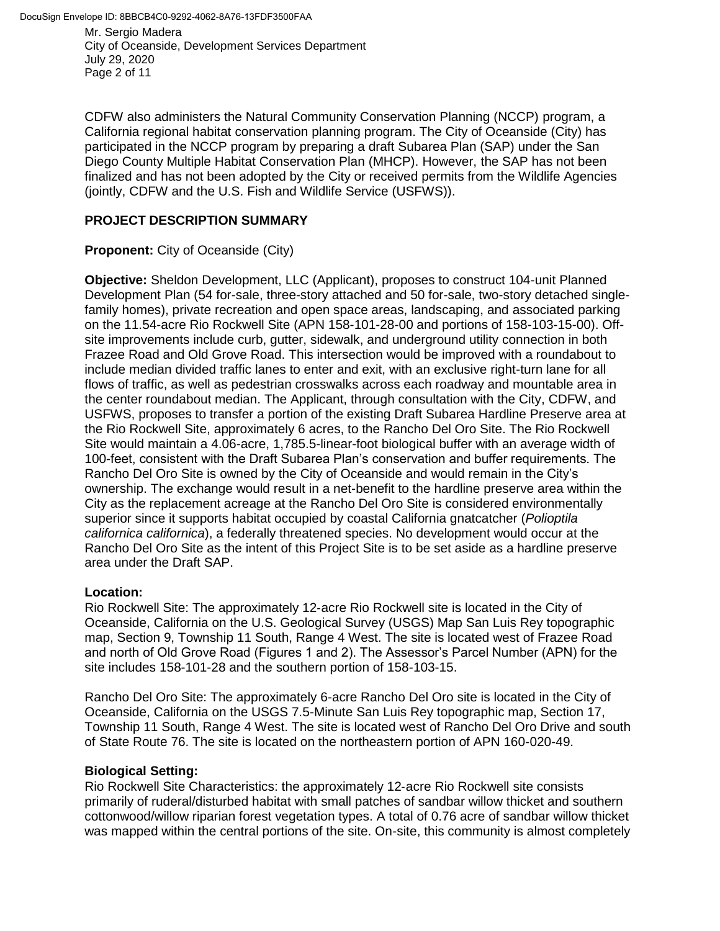Mr. Sergio Madera City of Oceanside, Development Services Department July 29, 2020 Page 2 of 11

CDFW also administers the Natural Community Conservation Planning (NCCP) program, a California regional habitat conservation planning program. The City of Oceanside (City) has participated in the NCCP program by preparing a draft Subarea Plan (SAP) under the San Diego County Multiple Habitat Conservation Plan (MHCP). However, the SAP has not been finalized and has not been adopted by the City or received permits from the Wildlife Agencies (jointly, CDFW and the U.S. Fish and Wildlife Service (USFWS)).

## **PROJECT DESCRIPTION SUMMARY**

## **Proponent:** City of Oceanside (City)

**Objective:** Sheldon Development, LLC (Applicant), proposes to construct 104-unit Planned Development Plan (54 for-sale, three-story attached and 50 for-sale, two-story detached singlefamily homes), private recreation and open space areas, landscaping, and associated parking on the 11.54-acre Rio Rockwell Site (APN 158-101-28-00 and portions of 158-103-15-00). Offsite improvements include curb, gutter, sidewalk, and underground utility connection in both Frazee Road and Old Grove Road. This intersection would be improved with a roundabout to include median divided traffic lanes to enter and exit, with an exclusive right-turn lane for all flows of traffic, as well as pedestrian crosswalks across each roadway and mountable area in the center roundabout median. The Applicant, through consultation with the City, CDFW, and USFWS, proposes to transfer a portion of the existing Draft Subarea Hardline Preserve area at the Rio Rockwell Site, approximately 6 acres, to the Rancho Del Oro Site. The Rio Rockwell Site would maintain a 4.06-acre, 1,785.5-linear-foot biological buffer with an average width of 100-feet, consistent with the Draft Subarea Plan's conservation and buffer requirements. The Rancho Del Oro Site is owned by the City of Oceanside and would remain in the City's ownership. The exchange would result in a net-benefit to the hardline preserve area within the City as the replacement acreage at the Rancho Del Oro Site is considered environmentally superior since it supports habitat occupied by coastal California gnatcatcher (*Polioptila californica californica*), a federally threatened species. No development would occur at the Rancho Del Oro Site as the intent of this Project Site is to be set aside as a hardline preserve area under the Draft SAP.

### **Location:**

Rio Rockwell Site: The approximately 12‐acre Rio Rockwell site is located in the City of Oceanside, California on the U.S. Geological Survey (USGS) Map San Luis Rey topographic map, Section 9, Township 11 South, Range 4 West. The site is located west of Frazee Road and north of Old Grove Road (Figures 1 and 2). The Assessor's Parcel Number (APN) for the site includes 158-101-28 and the southern portion of 158-103-15.

Rancho Del Oro Site: The approximately 6-acre Rancho Del Oro site is located in the City of Oceanside, California on the USGS 7.5-Minute San Luis Rey topographic map, Section 17, Township 11 South, Range 4 West. The site is located west of Rancho Del Oro Drive and south of State Route 76. The site is located on the northeastern portion of APN 160-020-49.

### **Biological Setting:**

Rio Rockwell Site Characteristics: the approximately 12‐acre Rio Rockwell site consists primarily of ruderal/disturbed habitat with small patches of sandbar willow thicket and southern cottonwood/willow riparian forest vegetation types. A total of 0.76 acre of sandbar willow thicket was mapped within the central portions of the site. On-site, this community is almost completely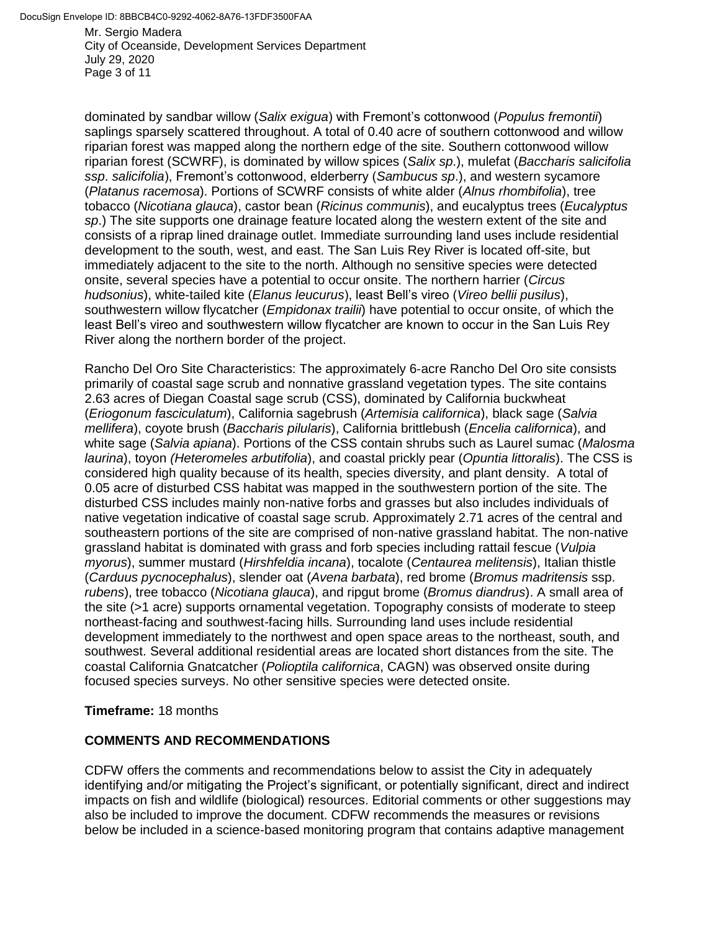Mr. Sergio Madera City of Oceanside, Development Services Department July 29, 2020 Page 3 of 11

dominated by sandbar willow (*Salix exigua*) with Fremont's cottonwood (*Populus fremontii*) saplings sparsely scattered throughout. A total of 0.40 acre of southern cottonwood and willow riparian forest was mapped along the northern edge of the site. Southern cottonwood willow riparian forest (SCWRF), is dominated by willow spices (*Salix sp*.), mulefat (*Baccharis salicifolia ssp*. *salicifolia*), Fremont's cottonwood, elderberry (*Sambucus sp*.), and western sycamore (*Platanus racemosa*). Portions of SCWRF consists of white alder (*Alnus rhombifolia*), tree tobacco (*Nicotiana glauca*), castor bean (*Ricinus communis*), and eucalyptus trees (*Eucalyptus sp*.) The site supports one drainage feature located along the western extent of the site and consists of a riprap lined drainage outlet. Immediate surrounding land uses include residential development to the south, west, and east. The San Luis Rey River is located off-site, but immediately adjacent to the site to the north. Although no sensitive species were detected onsite, several species have a potential to occur onsite. The northern harrier (*Circus hudsonius*), white-tailed kite (*Elanus leucurus*), least Bell's vireo (*Vireo bellii pusilus*), southwestern willow flycatcher (*Empidonax trailii*) have potential to occur onsite, of which the least Bell's vireo and southwestern willow flycatcher are known to occur in the San Luis Rey River along the northern border of the project.

Rancho Del Oro Site Characteristics: The approximately 6‐acre Rancho Del Oro site consists primarily of coastal sage scrub and nonnative grassland vegetation types. The site contains 2.63 acres of Diegan Coastal sage scrub (CSS), dominated by California buckwheat (*Eriogonum fasciculatum*), California sagebrush (*Artemisia californica*), black sage (*Salvia mellifera*), coyote brush (*Baccharis pilularis*), California brittlebush (*Encelia californica*), and white sage (*Salvia apiana*). Portions of the CSS contain shrubs such as Laurel sumac (*Malosma laurina*), toyon *(Heteromeles arbutifolia*), and coastal prickly pear (*Opuntia littoralis*). The CSS is considered high quality because of its health, species diversity, and plant density. A total of 0.05 acre of disturbed CSS habitat was mapped in the southwestern portion of the site. The disturbed CSS includes mainly non-native forbs and grasses but also includes individuals of native vegetation indicative of coastal sage scrub. Approximately 2.71 acres of the central and southeastern portions of the site are comprised of non-native grassland habitat. The non-native grassland habitat is dominated with grass and forb species including rattail fescue (*Vulpia myorus*), summer mustard (*Hirshfeldia incana*), tocalote (*Centaurea melitensis*), Italian thistle (*Carduus pycnocephalus*), slender oat (*Avena barbata*), red brome (*Bromus madritensis* ssp. *rubens*), tree tobacco (*Nicotiana glauca*), and ripgut brome (*Bromus diandrus*). A small area of the site (>1 acre) supports ornamental vegetation. Topography consists of moderate to steep northeast-facing and southwest-facing hills. Surrounding land uses include residential development immediately to the northwest and open space areas to the northeast, south, and southwest. Several additional residential areas are located short distances from the site. The coastal California Gnatcatcher (*Polioptila californica*, CAGN) was observed onsite during focused species surveys. No other sensitive species were detected onsite.

### **Timeframe:** 18 months

# **COMMENTS AND RECOMMENDATIONS**

CDFW offers the comments and recommendations below to assist the City in adequately identifying and/or mitigating the Project's significant, or potentially significant, direct and indirect impacts on fish and wildlife (biological) resources. Editorial comments or other suggestions may also be included to improve the document. CDFW recommends the measures or revisions below be included in a science-based monitoring program that contains adaptive management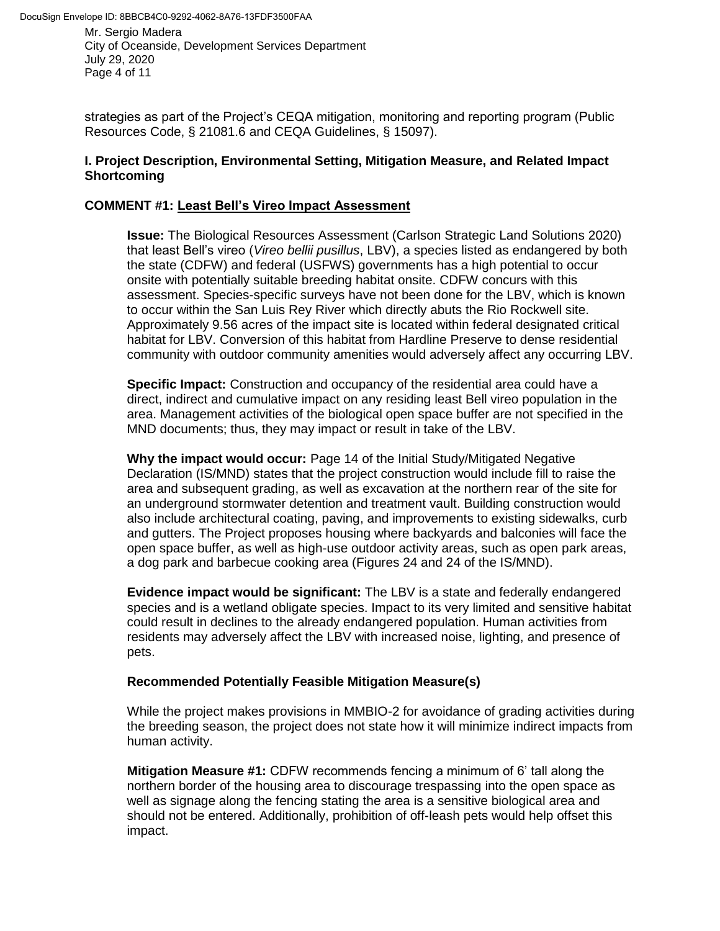DocuSign Envelope ID: 8BBCB4C0-9292-4062-8A76-13FDF3500FAA

Mr. Sergio Madera City of Oceanside, Development Services Department July 29, 2020 Page 4 of 11

strategies as part of the Project's CEQA mitigation, monitoring and reporting program (Public Resources Code, § 21081.6 and CEQA Guidelines, § 15097).

#### **I. Project Description, Environmental Setting, Mitigation Measure, and Related Impact Shortcoming**

### **COMMENT #1: Least Bell's Vireo Impact Assessment**

**Issue:** The Biological Resources Assessment (Carlson Strategic Land Solutions 2020) that least Bell's vireo (*Vireo bellii pusillus*, LBV), a species listed as endangered by both the state (CDFW) and federal (USFWS) governments has a high potential to occur onsite with potentially suitable breeding habitat onsite. CDFW concurs with this assessment. Species-specific surveys have not been done for the LBV, which is known to occur within the San Luis Rey River which directly abuts the Rio Rockwell site. Approximately 9.56 acres of the impact site is located within federal designated critical habitat for LBV. Conversion of this habitat from Hardline Preserve to dense residential community with outdoor community amenities would adversely affect any occurring LBV.

**Specific Impact:** Construction and occupancy of the residential area could have a direct, indirect and cumulative impact on any residing least Bell vireo population in the area. Management activities of the biological open space buffer are not specified in the MND documents; thus, they may impact or result in take of the LBV.

**Why the impact would occur:** Page 14 of the Initial Study/Mitigated Negative Declaration (IS/MND) states that the project construction would include fill to raise the area and subsequent grading, as well as excavation at the northern rear of the site for an underground stormwater detention and treatment vault. Building construction would also include architectural coating, paving, and improvements to existing sidewalks, curb and gutters. The Project proposes housing where backyards and balconies will face the open space buffer, as well as high-use outdoor activity areas, such as open park areas, a dog park and barbecue cooking area (Figures 24 and 24 of the IS/MND).

**Evidence impact would be significant:** The LBV is a state and federally endangered species and is a wetland obligate species. Impact to its very limited and sensitive habitat could result in declines to the already endangered population. Human activities from residents may adversely affect the LBV with increased noise, lighting, and presence of pets.

### **Recommended Potentially Feasible Mitigation Measure(s)**

While the project makes provisions in MMBIO-2 for avoidance of grading activities during the breeding season, the project does not state how it will minimize indirect impacts from human activity.

**Mitigation Measure #1:** CDFW recommends fencing a minimum of 6' tall along the northern border of the housing area to discourage trespassing into the open space as well as signage along the fencing stating the area is a sensitive biological area and should not be entered. Additionally, prohibition of off-leash pets would help offset this impact.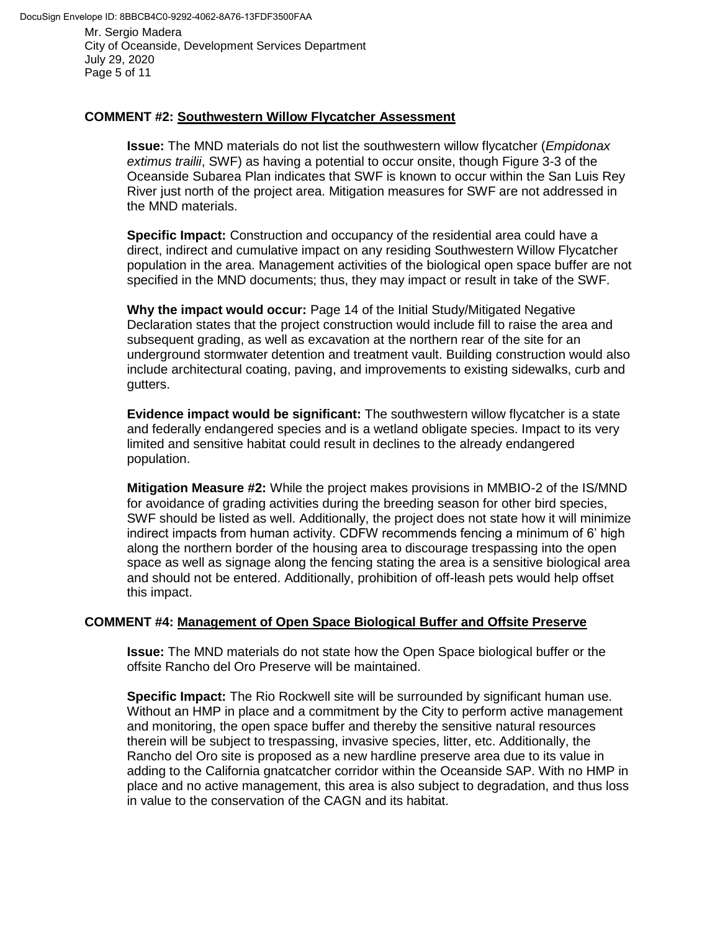City of Oceanside, Development Services Department July 29, 2020 Page 5 of 11

## **COMMENT #2: Southwestern Willow Flycatcher Assessment**

**Issue:** The MND materials do not list the southwestern willow flycatcher (*Empidonax extimus trailii*, SWF) as having a potential to occur onsite, though Figure 3-3 of the Oceanside Subarea Plan indicates that SWF is known to occur within the San Luis Rey River just north of the project area. Mitigation measures for SWF are not addressed in the MND materials.

**Specific Impact:** Construction and occupancy of the residential area could have a direct, indirect and cumulative impact on any residing Southwestern Willow Flycatcher population in the area. Management activities of the biological open space buffer are not specified in the MND documents; thus, they may impact or result in take of the SWF.

**Why the impact would occur:** Page 14 of the Initial Study/Mitigated Negative Declaration states that the project construction would include fill to raise the area and subsequent grading, as well as excavation at the northern rear of the site for an underground stormwater detention and treatment vault. Building construction would also include architectural coating, paving, and improvements to existing sidewalks, curb and gutters.

**Evidence impact would be significant:** The southwestern willow flycatcher is a state and federally endangered species and is a wetland obligate species. Impact to its very limited and sensitive habitat could result in declines to the already endangered population.

**Mitigation Measure #2:** While the project makes provisions in MMBIO-2 of the IS/MND for avoidance of grading activities during the breeding season for other bird species, SWF should be listed as well. Additionally, the project does not state how it will minimize indirect impacts from human activity. CDFW recommends fencing a minimum of 6' high along the northern border of the housing area to discourage trespassing into the open space as well as signage along the fencing stating the area is a sensitive biological area and should not be entered. Additionally, prohibition of off-leash pets would help offset this impact.

### **COMMENT #4: Management of Open Space Biological Buffer and Offsite Preserve**

**Issue:** The MND materials do not state how the Open Space biological buffer or the offsite Rancho del Oro Preserve will be maintained.

**Specific Impact:** The Rio Rockwell site will be surrounded by significant human use. Without an HMP in place and a commitment by the City to perform active management and monitoring, the open space buffer and thereby the sensitive natural resources therein will be subject to trespassing, invasive species, litter, etc. Additionally, the Rancho del Oro site is proposed as a new hardline preserve area due to its value in adding to the California gnatcatcher corridor within the Oceanside SAP. With no HMP in place and no active management, this area is also subject to degradation, and thus loss in value to the conservation of the CAGN and its habitat.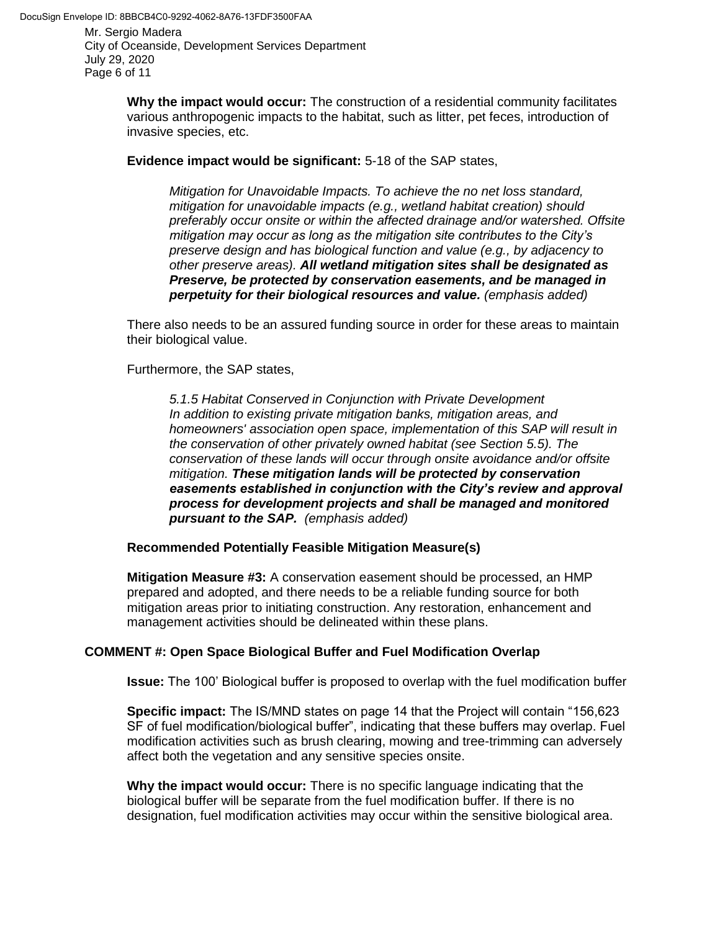City of Oceanside, Development Services Department July 29, 2020 Page 6 of 11

> **Why the impact would occur:** The construction of a residential community facilitates various anthropogenic impacts to the habitat, such as litter, pet feces, introduction of invasive species, etc.

**Evidence impact would be significant:** 5-18 of the SAP states,

*Mitigation for Unavoidable Impacts. To achieve the no net loss standard, mitigation for unavoidable impacts (e.g., wetland habitat creation) should preferably occur onsite or within the affected drainage and/or watershed. Offsite mitigation may occur as long as the mitigation site contributes to the City's preserve design and has biological function and value (e.g., by adjacency to other preserve areas). All wetland mitigation sites shall be designated as Preserve, be protected by conservation easements, and be managed in perpetuity for their biological resources and value. (emphasis added)*

There also needs to be an assured funding source in order for these areas to maintain their biological value.

Furthermore, the SAP states,

*5.1.5 Habitat Conserved in Conjunction with Private Development In addition to existing private mitigation banks, mitigation areas, and homeowners' association open space, implementation of this SAP will result in the conservation of other privately owned habitat (see Section 5.5). The conservation of these lands will occur through onsite avoidance and/or offsite mitigation. These mitigation lands will be protected by conservation easements established in conjunction with the City's review and approval process for development projects and shall be managed and monitored pursuant to the SAP. (emphasis added)*

**Recommended Potentially Feasible Mitigation Measure(s)**

**Mitigation Measure #3:** A conservation easement should be processed, an HMP prepared and adopted, and there needs to be a reliable funding source for both mitigation areas prior to initiating construction. Any restoration, enhancement and management activities should be delineated within these plans.

### **COMMENT #: Open Space Biological Buffer and Fuel Modification Overlap**

**Issue:** The 100' Biological buffer is proposed to overlap with the fuel modification buffer

**Specific impact:** The IS/MND states on page 14 that the Project will contain "156,623 SF of fuel modification/biological buffer", indicating that these buffers may overlap. Fuel modification activities such as brush clearing, mowing and tree-trimming can adversely affect both the vegetation and any sensitive species onsite.

**Why the impact would occur:** There is no specific language indicating that the biological buffer will be separate from the fuel modification buffer. If there is no designation, fuel modification activities may occur within the sensitive biological area.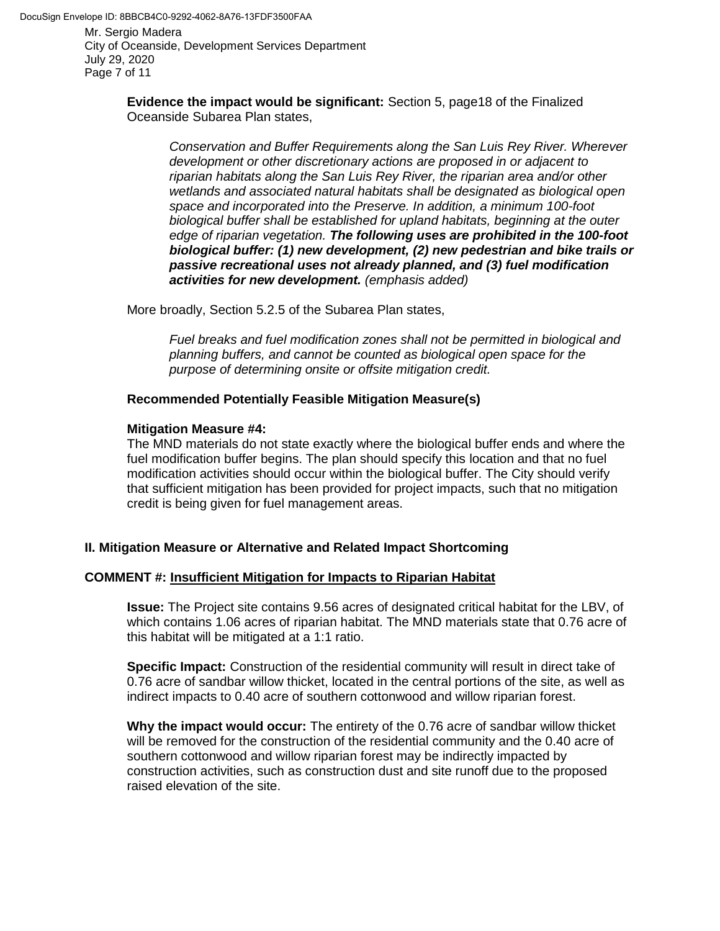City of Oceanside, Development Services Department July 29, 2020 Page 7 of 11

> **Evidence the impact would be significant:** Section 5, page18 of the Finalized Oceanside Subarea Plan states,

*Conservation and Buffer Requirements along the San Luis Rey River. Wherever development or other discretionary actions are proposed in or adjacent to riparian habitats along the San Luis Rey River, the riparian area and/or other wetlands and associated natural habitats shall be designated as biological open space and incorporated into the Preserve. In addition, a minimum 100-foot biological buffer shall be established for upland habitats, beginning at the outer edge of riparian vegetation. The following uses are prohibited in the 100-foot biological buffer: (1) new development, (2) new pedestrian and bike trails or passive recreational uses not already planned, and (3) fuel modification activities for new development. (emphasis added)*

More broadly, Section 5.2.5 of the Subarea Plan states,

*Fuel breaks and fuel modification zones shall not be permitted in biological and planning buffers, and cannot be counted as biological open space for the purpose of determining onsite or offsite mitigation credit.*

#### **Recommended Potentially Feasible Mitigation Measure(s)**

#### **Mitigation Measure #4:**

The MND materials do not state exactly where the biological buffer ends and where the fuel modification buffer begins. The plan should specify this location and that no fuel modification activities should occur within the biological buffer. The City should verify that sufficient mitigation has been provided for project impacts, such that no mitigation credit is being given for fuel management areas.

### **II. Mitigation Measure or Alternative and Related Impact Shortcoming**

### **COMMENT #: Insufficient Mitigation for Impacts to Riparian Habitat**

**Issue:** The Project site contains 9.56 acres of designated critical habitat for the LBV, of which contains 1.06 acres of riparian habitat. The MND materials state that 0.76 acre of this habitat will be mitigated at a 1:1 ratio.

**Specific Impact:** Construction of the residential community will result in direct take of 0.76 acre of sandbar willow thicket, located in the central portions of the site, as well as indirect impacts to 0.40 acre of southern cottonwood and willow riparian forest.

**Why the impact would occur:** The entirety of the 0.76 acre of sandbar willow thicket will be removed for the construction of the residential community and the 0.40 acre of southern cottonwood and willow riparian forest may be indirectly impacted by construction activities, such as construction dust and site runoff due to the proposed raised elevation of the site.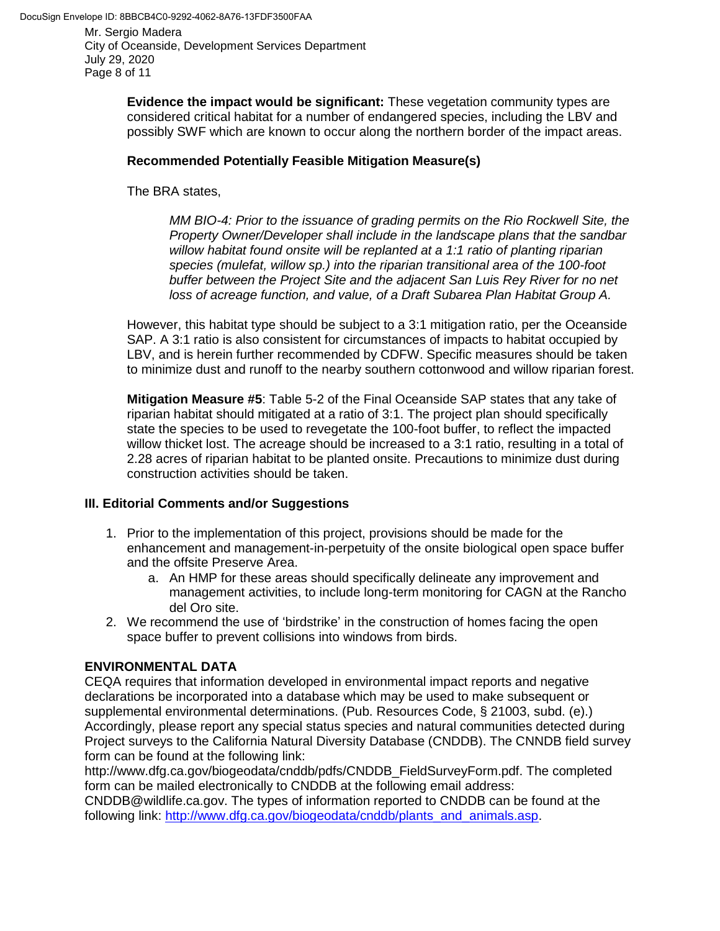City of Oceanside, Development Services Department July 29, 2020 Page 8 of 11

> **Evidence the impact would be significant:** These vegetation community types are considered critical habitat for a number of endangered species, including the LBV and possibly SWF which are known to occur along the northern border of the impact areas.

## **Recommended Potentially Feasible Mitigation Measure(s)**

The BRA states,

*MM BIO-4: Prior to the issuance of grading permits on the Rio Rockwell Site, the Property Owner/Developer shall include in the landscape plans that the sandbar willow habitat found onsite will be replanted at a 1:1 ratio of planting riparian species (mulefat, willow sp.) into the riparian transitional area of the 100-foot buffer between the Project Site and the adjacent San Luis Rey River for no net loss of acreage function, and value, of a Draft Subarea Plan Habitat Group A.*

However, this habitat type should be subject to a 3:1 mitigation ratio, per the Oceanside SAP. A 3:1 ratio is also consistent for circumstances of impacts to habitat occupied by LBV, and is herein further recommended by CDFW. Specific measures should be taken to minimize dust and runoff to the nearby southern cottonwood and willow riparian forest.

**Mitigation Measure #5**: Table 5-2 of the Final Oceanside SAP states that any take of riparian habitat should mitigated at a ratio of 3:1. The project plan should specifically state the species to be used to revegetate the 100-foot buffer, to reflect the impacted willow thicket lost. The acreage should be increased to a 3:1 ratio, resulting in a total of 2.28 acres of riparian habitat to be planted onsite. Precautions to minimize dust during construction activities should be taken.

# **III. Editorial Comments and/or Suggestions**

- 1. Prior to the implementation of this project, provisions should be made for the enhancement and management-in-perpetuity of the onsite biological open space buffer and the offsite Preserve Area.
	- a. An HMP for these areas should specifically delineate any improvement and management activities, to include long-term monitoring for CAGN at the Rancho del Oro site.
- 2. We recommend the use of 'birdstrike' in the construction of homes facing the open space buffer to prevent collisions into windows from birds.

# **ENVIRONMENTAL DATA**

CEQA requires that information developed in environmental impact reports and negative declarations be incorporated into a database which may be used to make subsequent or supplemental environmental determinations. (Pub. Resources Code, § 21003, subd. (e).) Accordingly, please report any special status species and natural communities detected during Project surveys to the California Natural Diversity Database (CNDDB). The CNNDB field survey form can be found at the following link:

http://www.dfg.ca.gov/biogeodata/cnddb/pdfs/CNDDB\_FieldSurveyForm.pdf. The completed form can be mailed electronically to CNDDB at the following email address:

CNDDB@wildlife.ca.gov. The types of information reported to CNDDB can be found at the following link: [http://www.dfg.ca.gov/biogeodata/cnddb/plants\\_and\\_animals.asp.](http://www.dfg.ca.gov/biogeodata/cnddb/plants_and_animals.asp)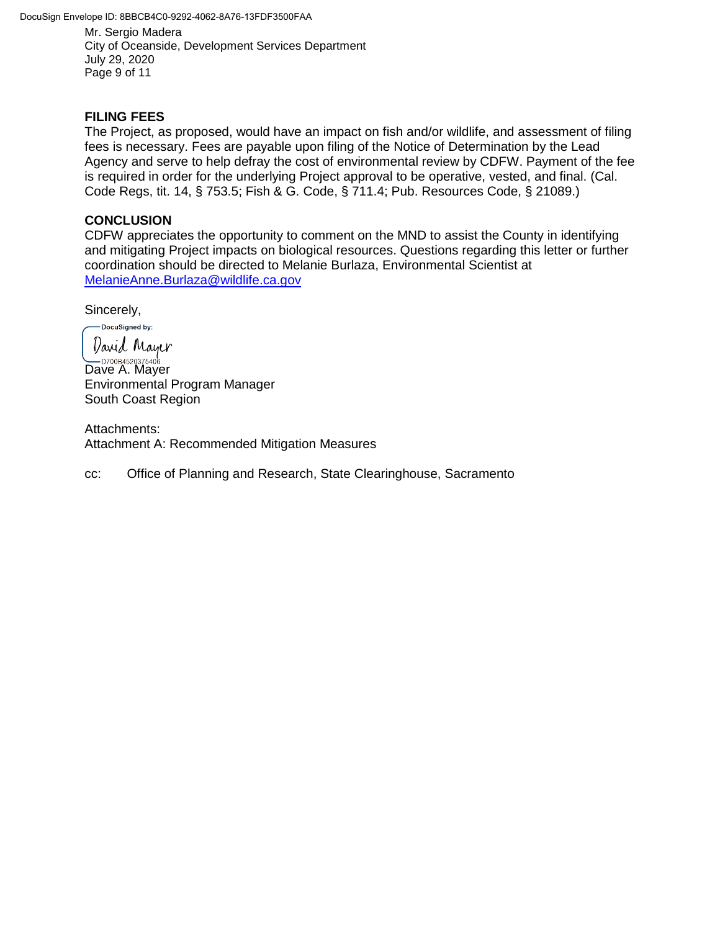DocuSign Envelope ID: 8BBCB4C0-9292-4062-8A76-13FDF3500FAA

Mr. Sergio Madera City of Oceanside, Development Services Department July 29, 2020 Page 9 of 11

### **FILING FEES**

The Project, as proposed, would have an impact on fish and/or wildlife, and assessment of filing fees is necessary. Fees are payable upon filing of the Notice of Determination by the Lead Agency and serve to help defray the cost of environmental review by CDFW. Payment of the fee is required in order for the underlying Project approval to be operative, vested, and final. (Cal. Code Regs, tit. 14, § 753.5; Fish & G. Code, § 711.4; Pub. Resources Code, § 21089.)

#### **CONCLUSION**

CDFW appreciates the opportunity to comment on the MND to assist the County in identifying and mitigating Project impacts on biological resources. Questions regarding this letter or further coordination should be directed to Melanie Burlaza, Environmental Scientist at [MelanieAnne.Burlaza@wildlife.ca.gov](mailto:MelanieAnne.Burlaza@wildlife.ca.gov)

Sincerely,

DocuSigned by: *Varid Mayer*  $\sum_{\text{D700B4520375406...}}$ Dave A. Mayer Environmental Program Manager South Coast Region

Attachments: Attachment A: Recommended Mitigation Measures

cc: Office of Planning and Research, State Clearinghouse, Sacramento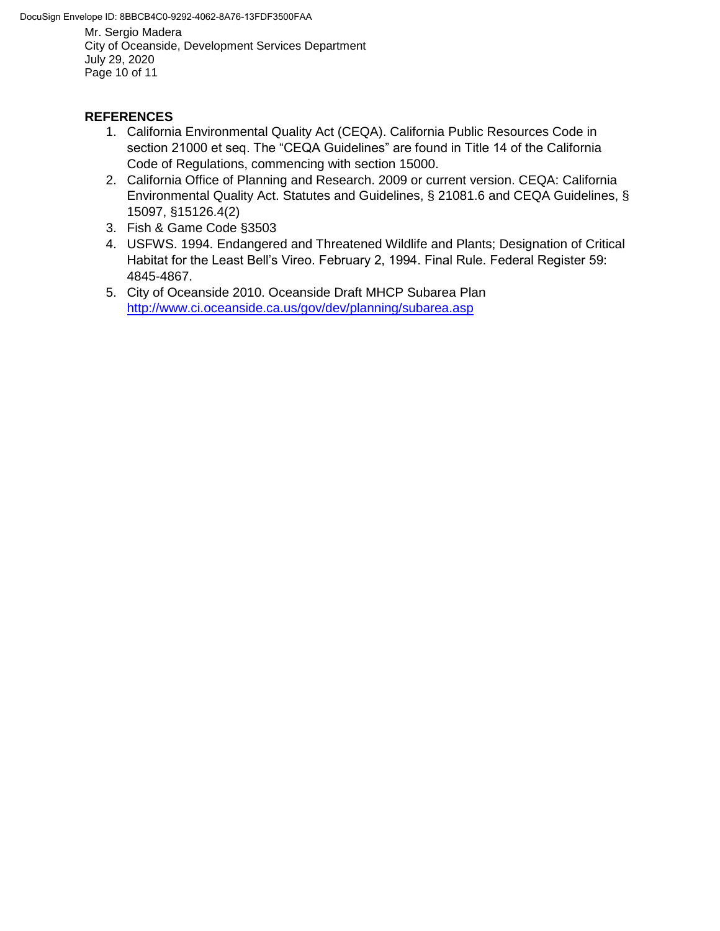DocuSign Envelope ID: 8BBCB4C0-9292-4062-8A76-13FDF3500FAA

Mr. Sergio Madera City of Oceanside, Development Services Department July 29, 2020 Page 10 of 11

# **REFERENCES**

- 1. California Environmental Quality Act (CEQA). California Public Resources Code in section 21000 et seq. The "CEQA Guidelines" are found in Title 14 of the California Code of Regulations, commencing with section 15000.
- 2. California Office of Planning and Research. 2009 or current version. CEQA: California Environmental Quality Act. Statutes and Guidelines, § 21081.6 and CEQA Guidelines, § 15097, §15126.4(2)
- 3. Fish & Game Code §3503
- 4. USFWS. 1994. Endangered and Threatened Wildlife and Plants; Designation of Critical Habitat for the Least Bell's Vireo. February 2, 1994. Final Rule. Federal Register 59: 4845-4867.
- 5. City of Oceanside 2010. Oceanside Draft MHCP Subarea Plan <http://www.ci.oceanside.ca.us/gov/dev/planning/subarea.asp>